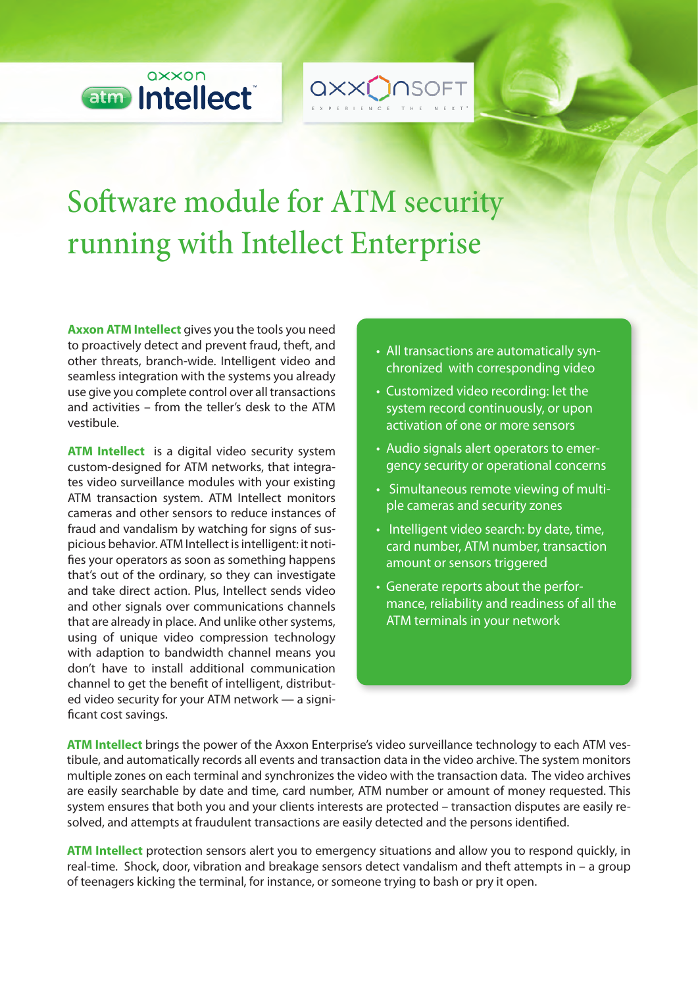

QXX**O**NSOFT

## Software module for ATM security running with Intellect Enterprise

**Axxon ATM Intellect** gives you the tools you need to proactively detect and prevent fraud, theft, and other threats, branch-wide. Intelligent video and seamless integration with the systems you already use give you complete control over all transactions and activities – from the teller's desk to the ATM vestibule.

**ATM Intellect** is a digital video security system custom-designed for ATM networks, that integrates video surveillance modules with your existing ATM transaction system. ATM Intellect monitors cameras and other sensors to reduce instances of fraud and vandalism by watching for signs of suspicious behavior. ATM Intellect is intelligent: it noti fies your operators as soon as something happens that's out of the ordinary, so they can investigate and take direct action. Plus, Intellect sends video and other signals over communications channels that are already in place. And unlike other systems, using of unique video compression technology with adaption to bandwidth channel means you don't have to install additional communication channel to get the benefit of intelligent, distributed video security for your ATM network — a signi ficant cost savings.

- All transactions are automatically synchronized with corresponding video
- Customized video recording: let the system record continuously, or upon activation of one or more sensors
- Audio signals alert operators to emergency security or operational concerns
- Simultaneous remote viewing of multiple cameras and security zones
- $\cdot$  Intelligent video search: by date, time, card number, ATM number, transaction amount or sensors triggered
- Generate reports about the performance, reliability and readiness of all the ATM terminals in your network

**ATM Intellect** brings the power of the Axxon Enterprise's video surveillance technology to each ATM vestibule, and automatically records all events and transaction data in the video archive. The system monitors multiple zones on each terminal and synchronizes the video with the transaction data. The video archives are easily searchable by date and time, card number, ATM number or amount of money requested. This system ensures that both you and your clients interests are protected – transaction disputes are easily resolved, and attempts at fraudulent transactions are easily detected and the persons identified.

**ATM Intellect** protection sensors alert you to emergency situations and allow you to respond quickly, in real-time. Shock, door, vibration and breakage sensors detect vandalism and theft attempts in – a group of teenagers kicking the terminal, for instance, or someone trying to bash or pry it open.